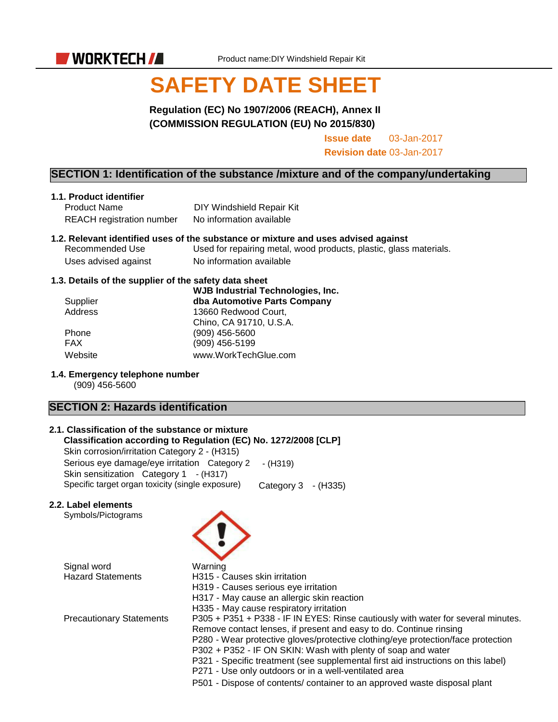

# **SAFETY DATE SHEET**

# **Regulation (EC) No 1907/2006 (REACH), Annex II (COMMISSION REGULATION (EU) No 2015/830)**

**Issue date** 03-Jan-2017

**Revision date** 03-Jan-2017

## **SECTION 1: Identification of the substance /mixture and of the company/undertaking**

#### **1.1. Product identifier**

Product Name DIY Windshield Repair Kit REACH registration number No information available

#### **1.2. Relevant identified uses of the substance or mixture and uses advised against**

Recommended Use Used for repairing metal, wood products, plastic, glass materials. Uses advised against No information available

#### **1.3. Details of the supplier of the safety data sheet**

| Supplier   | <b>WJB Industrial Technologies, Inc.</b><br>dba Automotive Parts Company |
|------------|--------------------------------------------------------------------------|
| Address    | 13660 Redwood Court,                                                     |
|            | Chino, CA 91710, U.S.A.                                                  |
| Phone      | $(909)$ 456-5600                                                         |
| <b>FAX</b> | (909) 456-5199                                                           |
| Website    | www.WorkTechGlue.com                                                     |

#### **1.4. Emergency telephone number**

(909) 456-5600

# **SECTION 2: Hazards identification**

#### **2.1. Classification of the substance or mixture**

**Classification according to Regulation (EC) No. 1272/2008 [CLP]** Skin corrosion/irritation Category 2 - (H315) Serious eye damage/eye irritation Category 2 - (H319) Skin sensitization Category 1 - (H317) Specific target organ toxicity (single exposure) Category 3 - (H335)

#### **2.2. Label elements**

Symbols/Pictograms

Signal word<br>
Hazard Statements
Hazard Statements
H315 - C

H315 - Causes skin irritation H319 - Causes serious eye irritation H317 - May cause an allergic skin reaction H335 - May cause respiratory irritation Precautionary Statements P305 + P351 + P338 - IF IN EYES: Rinse cautiously with water for several minutes. Remove contact lenses, if present and easy to do. Continue rinsing

P280 - Wear protective gloves/protective clothing/eye protection/face protection

- P302 + P352 IF ON SKIN: Wash with plenty of soap and water
- P321 Specific treatment (see supplemental first aid instructions on this label)
- P271 Use only outdoors or in a well-ventilated area
- P501 Dispose of contents/ container to an approved waste disposal plant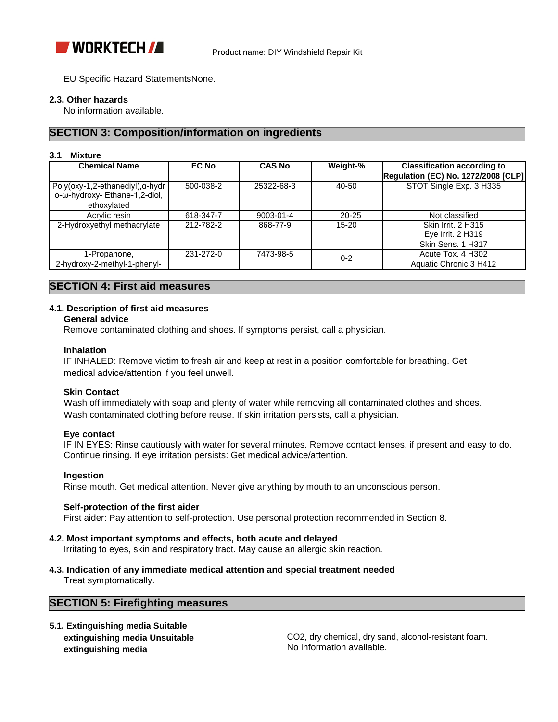EU Specific Hazard StatementsNone.

#### **2.3. Other hazards**

No information available.

# **SECTION 3: Composition/information on ingredients**

#### **3.1 Mixture**

| <b>Chemical Name</b>                                                                     | <b>EC No</b> | <b>CAS No</b>   | Weight-%  | <b>Classification according to</b><br><b>Regulation (EC) No. 1272/2008 [CLP]</b> |
|------------------------------------------------------------------------------------------|--------------|-----------------|-----------|----------------------------------------------------------------------------------|
| Poly(oxy-1,2-ethanediyl), $\alpha$ -hydr<br>ο-ω-hydroxy- Ethane-1,2-diol,<br>ethoxylated | 500-038-2    | 25322-68-3      | 40-50     | STOT Single Exp. 3 H335                                                          |
| Acrylic resin                                                                            | 618-347-7    | $9003 - 01 - 4$ | $20 - 25$ | Not classified                                                                   |
| 2-Hydroxyethyl methacrylate                                                              | 212-782-2    | 868-77-9        | $15 - 20$ | <b>Skin Irrit. 2 H315</b><br>Eye Irrit. $2$ H $319$<br>Skin Sens, 1 H317         |
| 1-Propanone,<br>2-hydroxy-2-methyl-1-phenyl-                                             | 231-272-0    | 7473-98-5       | $0 - 2$   | Acute Tox. 4 H302<br>Aquatic Chronic 3 H412                                      |

# **SECTION 4: First aid measures**

#### **4.1. Description of first aid measures**

## **General advice**

Remove contaminated clothing and shoes. If symptoms persist, call a physician.

#### **Inhalation**

IF INHALED: Remove victim to fresh air and keep at rest in a position comfortable for breathing. Get medical advice/attention if you feel unwell.

#### **Skin Contact**

Wash off immediately with soap and plenty of water while removing all contaminated clothes and shoes. Wash contaminated clothing before reuse. If skin irritation persists, call a physician.

#### **Eye contact**

IF IN EYES: Rinse cautiously with water for several minutes. Remove contact lenses, if present and easy to do. Continue rinsing. If eye irritation persists: Get medical advice/attention.

#### **Ingestion**

Rinse mouth. Get medical attention. Never give anything by mouth to an unconscious person.

#### **Self-protection of the first aider**

First aider: Pay attention to self-protection. Use personal protection recommended in Section 8.

#### **4.2. Most important symptoms and effects, both acute and delayed**

Irritating to eyes, skin and respiratory tract. May cause an allergic skin reaction.

**4.3. Indication of any immediate medical attention and special treatment needed**

Treat symptomatically.

# **SECTION 5: Firefighting measures**

**5.1. Extinguishing media Suitable extinguishing media Unsuitable extinguishing media**

CO2, dry chemical, dry sand, alcohol-resistant foam. No information available.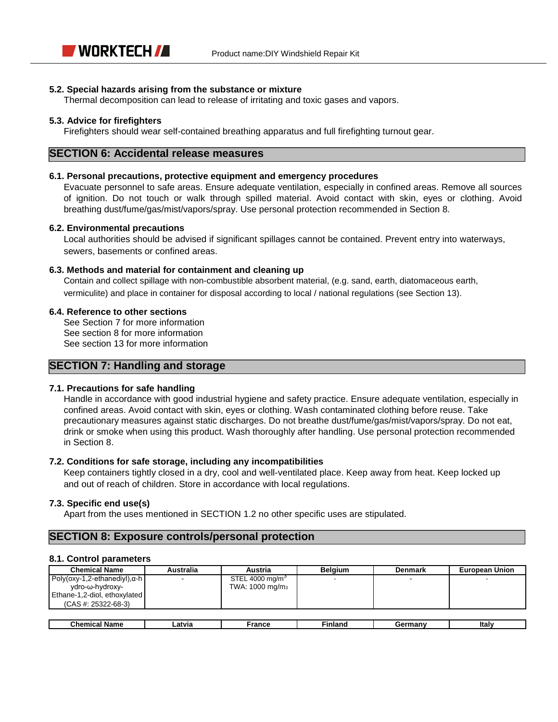#### **5.2. Special hazards arising from the substance or mixture**

Thermal decomposition can lead to release of irritating and toxic gases and vapors.

#### **5.3. Advice for firefighters**

Firefighters should wear self-contained breathing apparatus and full firefighting turnout gear.

## **SECTION 6: Accidental release measures**

#### **6.1. Personal precautions, protective equipment and emergency procedures**

Evacuate personnel to safe areas. Ensure adequate ventilation, especially in confined areas. Remove all sources of ignition. Do not touch or walk through spilled material. Avoid contact with skin, eyes or clothing. Avoid breathing dust/fume/gas/mist/vapors/spray. Use personal protection recommended in Section 8.

#### **6.2. Environmental precautions**

Local authorities should be advised if significant spillages cannot be contained. Prevent entry into waterways, sewers, basements or confined areas.

#### **6.3. Methods and material for containment and cleaning up**

Contain and collect spillage with non-combustible absorbent material, (e.g. sand, earth, diatomaceous earth, vermiculite) and place in container for disposal according to local / national regulations (see Section 13).

#### **6.4. Reference to other sections**

See Section 7 for more information See section 8 for more information See section 13 for more information

## **SECTION 7: Handling and storage**

#### **7.1. Precautions for safe handling**

Handle in accordance with good industrial hygiene and safety practice. Ensure adequate ventilation, especially in confined areas. Avoid contact with skin, eyes or clothing. Wash contaminated clothing before reuse. Take precautionary measures against static discharges. Do not breathe dust/fume/gas/mist/vapors/spray. Do not eat, drink or smoke when using this product. Wash thoroughly after handling. Use personal protection recommended in Section 8.

#### **7.2. Conditions for safe storage, including any incompatibilities**

Keep containers tightly closed in a dry, cool and well-ventilated place. Keep away from heat. Keep locked up and out of reach of children. Store in accordance with local regulations.

#### **7.3. Specific end use(s)**

Apart from the uses mentioned in SECTION 1.2 no other specific uses are stipulated.

## **SECTION 8: Exposure controls/personal protection**

#### **8.1. Control parameters**

| <b>Chemical Name</b>                                     | Australia | Austria                                                    | <b>Belaium</b> | <b>Denmark</b> | <b>European Union</b> |
|----------------------------------------------------------|-----------|------------------------------------------------------------|----------------|----------------|-----------------------|
| Poly(oxy-1,2-ethanediyl), $\alpha$ -h<br>ydro-ω-hydroxy- |           | STEL 4000 mg/m <sup>3</sup><br>TWA: 1000 mg/m <sub>3</sub> |                |                |                       |
| Ethane-1,2-diol, ethoxylated<br>$(CAS #: 25322-68-3)$    |           |                                                            |                |                |                       |
|                                                          |           |                                                            |                |                |                       |
| Chemical Name                                            | Latvia    | France                                                     | <b>Finland</b> | Germany        | Italv                 |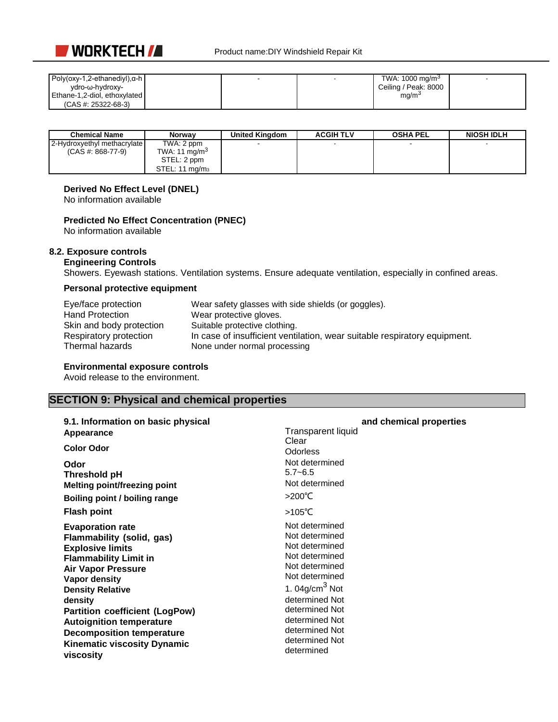

| Poly(oxy-1,2-ethanediyl), $\alpha$ -h |  | TWA: 1000 mg/m <sup>3</sup> |  |
|---------------------------------------|--|-----------------------------|--|
| vdro-ω-hvdroxy-                       |  | Ceiling / Peak: 8000        |  |
| Ethane-1,2-diol, ethoxylated          |  | mg/m <sup>3</sup>           |  |
| $(CAS #: 25322-68-3)$                 |  |                             |  |

| <b>Chemical Name</b>        | <b>Norway</b>              | <b>United Kingdom</b> | <b>ACGIH TLV</b> | <b>OSHA PEL</b> | <b>NIOSH IDLH</b> |
|-----------------------------|----------------------------|-----------------------|------------------|-----------------|-------------------|
| 2-Hydroxyethyl methacrylate | TWA: 2 ppm                 |                       |                  |                 |                   |
| $(CAS #: 868-77-9)$         | TWA: 11 mg/m <sup>3</sup>  |                       |                  |                 |                   |
|                             | STEL: 2 ppm                |                       |                  |                 |                   |
|                             | STEL: 11 ma/m <sub>3</sub> |                       |                  |                 |                   |

# **Derived No Effect Level (DNEL)**

No information available

## **Predicted No Effect Concentration (PNEC)**

No information available

#### **8.2. Exposure controls**

# **Engineering Controls**

Showers. Eyewash stations. Ventilation systems. Ensure adequate ventilation, especially in confined areas.

## **Personal protective equipment**

| Eye/face protection      | Wear safety glasses with side shields (or goggles).                       |
|--------------------------|---------------------------------------------------------------------------|
| <b>Hand Protection</b>   | Wear protective gloves.                                                   |
| Skin and body protection | Suitable protective clothing.                                             |
| Respiratory protection   | In case of insufficient ventilation, wear suitable respiratory equipment. |
| Thermal hazards          | None under normal processing                                              |

#### **Environmental exposure controls**

Avoid release to the environment.

# **SECTION 9: Physical and chemical properties**

| 9.1. Information on basic physical                                                                                                                                                                                                                                                                                                                                     | and chemical properties                                                                                                                                                                                                               |
|------------------------------------------------------------------------------------------------------------------------------------------------------------------------------------------------------------------------------------------------------------------------------------------------------------------------------------------------------------------------|---------------------------------------------------------------------------------------------------------------------------------------------------------------------------------------------------------------------------------------|
| Appearance                                                                                                                                                                                                                                                                                                                                                             | <b>Transparent liquid</b>                                                                                                                                                                                                             |
| <b>Color Odor</b>                                                                                                                                                                                                                                                                                                                                                      | Clear<br>Odorless                                                                                                                                                                                                                     |
| Odor<br>Threshold pH<br><b>Melting point/freezing point</b><br><b>Boiling point / boiling range</b>                                                                                                                                                                                                                                                                    | Not determined<br>$5.7 - 6.5$<br>Not determined<br>>200 $°C$                                                                                                                                                                          |
| <b>Flash point</b>                                                                                                                                                                                                                                                                                                                                                     | >105℃                                                                                                                                                                                                                                 |
| <b>Evaporation rate</b><br>Flammability (solid, gas)<br><b>Explosive limits</b><br><b>Flammability Limit in</b><br><b>Air Vapor Pressure</b><br>Vapor density<br><b>Density Relative</b><br>density<br><b>Partition coefficient (LogPow)</b><br><b>Autoignition temperature</b><br><b>Decomposition temperature</b><br><b>Kinematic viscosity Dynamic</b><br>viscosity | Not determined<br>Not determined<br>Not determined<br>Not determined<br>Not determined<br>Not determined<br>1. 04g/cm $3$ Not<br>determined Not<br>determined Not<br>determined Not<br>determined Not<br>determined Not<br>determined |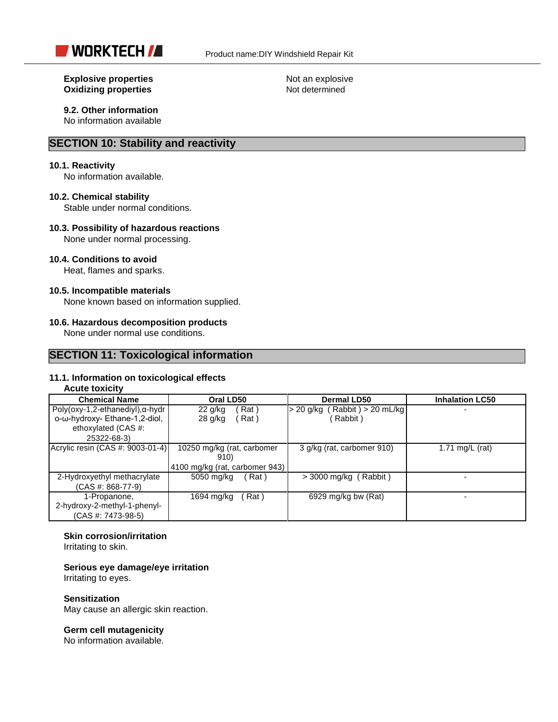

#### **Explosive properties** Not an explosive **Oxidizing properties** Not determined

# **9.2. Other information**

No information available

# **SECTION 10: Stability and reactivity**

#### **10.1. Reactivity**

No information available.

#### **10.2. Chemical stability**

Stable under normal conditions.

#### **10.3. Possibility of hazardous reactions**

None under normal processing.

#### **10.4. Conditions to avoid**

Heat, flames and sparks.

#### **10.5. Incompatible materials**

None known based on information supplied.

#### **10.6. Hazardous decomposition products**

None under normal use conditions.

## **SECTION 11: Toxicological information**

#### **11.1. Information on toxicological effects**

## **Acute toxicity**

| <b>Chemical Name</b>                     | Oral LD50                      | Dermal LD50                     | <b>Inhalation LC50</b> |
|------------------------------------------|--------------------------------|---------------------------------|------------------------|
| Poly(oxy-1,2-ethanediyl), $\alpha$ -hydr | Rat)<br>22 g/kg                | > 20 g/kg ( Rabbit ) > 20 mL/kg |                        |
| ο-ω-hydroxy- Ethane-1,2-diol,            | Rat)<br>$28$ g/kg              | Rabbit)                         |                        |
| ethoxylated (CAS #:                      |                                |                                 |                        |
| 25322-68-3)                              |                                |                                 |                        |
| Acrylic resin (CAS #: 9003-01-4)         | 10250 mg/kg (rat, carbomer     | 3 g/kg (rat, carbomer 910)      | 1.71 mg/L $(rat)$      |
|                                          | 910)                           |                                 |                        |
|                                          | 4100 mg/kg (rat, carbomer 943) |                                 |                        |
| 2-Hydroxyethyl methacrylate              | 5050 mg/kg<br>(Rat)            | $>$ 3000 mg/kg (Rabbit)         |                        |
| $(CAS #: 868-77-9)$                      |                                |                                 |                        |
| 1-Propanone,                             | 1694 mg/kg<br>(Rat)            | 6929 mg/kg bw (Rat)             |                        |
| 2-hydroxy-2-methyl-1-phenyl-             |                                |                                 |                        |
| (CAS #: 7473-98-5)                       |                                |                                 |                        |

#### **Skin corrosion/irritation**

Irritating to skin.

#### **Serious eye damage/eye irritation**

Irritating to eyes.

#### **Sensitization**

May cause an allergic skin reaction.

#### **Germ cell mutagenicity**

No information available.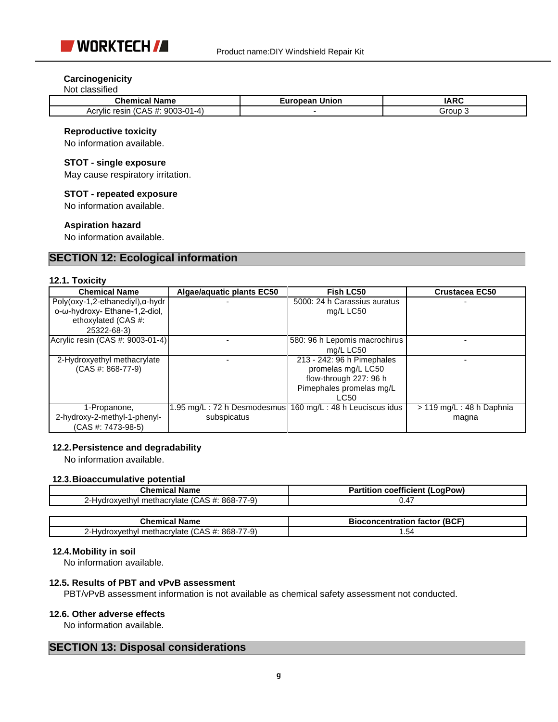

## **Carcinogenicity**

#### Not classified

| Chemical<br>Name                                                     | ∠uropean <sup>∙</sup><br>Union | <b>IARC</b> |
|----------------------------------------------------------------------|--------------------------------|-------------|
| (CAS<br>9003-0<br>$\mathsf{A}$<br>, #:<br>Acrylic<br>resin<br>' 4–∡، |                                | Group       |

#### **Reproductive toxicity**

No information available.

## **STOT - single exposure**

May cause respiratory irritation.

#### **STOT - repeated exposure**

No information available.

#### **Aspiration hazard**

No information available.

# **SECTION 12: Ecological information**

#### **12.1. Toxicity**

| <b>Chemical Name</b>                     | Algae/aquatic plants EC50 | Fish LC50                     | <b>Crustacea EC50</b>       |
|------------------------------------------|---------------------------|-------------------------------|-----------------------------|
| $Poly(oxy-1, 2-ethanediyl), \alpha-hydr$ |                           | 5000: 24 h Carassius auratus  |                             |
| ο-ω-hydroxy- Ethane-1,2-diol,            |                           | mg/L LC50                     |                             |
| ethoxylated (CAS #:                      |                           |                               |                             |
| 25322-68-3)                              |                           |                               |                             |
| Acrylic resin (CAS #: 9003-01-4)         |                           | 580: 96 h Lepomis macrochirus |                             |
|                                          |                           | mg/L LC50                     |                             |
| 2-Hydroxyethyl methacrylate              |                           | 213 - 242: 96 h Pimephales    |                             |
| $(CAS #: 868-77-9)$                      |                           | promelas mg/L LC50            |                             |
|                                          |                           | flow-through 227: 96 h        |                             |
|                                          |                           | Pimephales promelas mg/L      |                             |
|                                          |                           | LC50                          |                             |
| 1-Propanone,                             |                           |                               | $> 119$ mg/L : 48 h Daphnia |
| 2-hydroxy-2-methyl-1-phenyl-             | subspicatus               |                               | magna                       |
| (CAS #: 7473-98-5)                       |                           |                               |                             |

#### **12.2.Persistence and degradability**

No information available.

## **12.3.Bioaccumulative potential**

| Chemical Name                                      | <b>Partition coefficient (LogPow)</b> |
|----------------------------------------------------|---------------------------------------|
| ?-Hydroxyethyl methacrylate (CAS #: 868-7.<br>7-9) | 47. (                                 |
|                                                    |                                       |

| --                                                                                                       | $/$ (BCF<br>f<br>.<br>----<br>tactol<br>sior<br>лианог<br>once |
|----------------------------------------------------------------------------------------------------------|----------------------------------------------------------------|
| . .<br>7-9<br>868-7<br>⌒<br>-<br>$  -$<br>lvdr<br>÷А.<br>rviate<br>nacr<br>,,,,<br>76<br>עו<br>--<br>. . | <br>+ט.                                                        |

#### **12.4.Mobility in soil**

No information available.

## **12.5. Results of PBT and vPvB assessment**

PBT/vPvB assessment information is not available as chemical safety assessment not conducted.

#### **12.6. Other adverse effects**

No information available.

# **SECTION 13: Disposal considerations**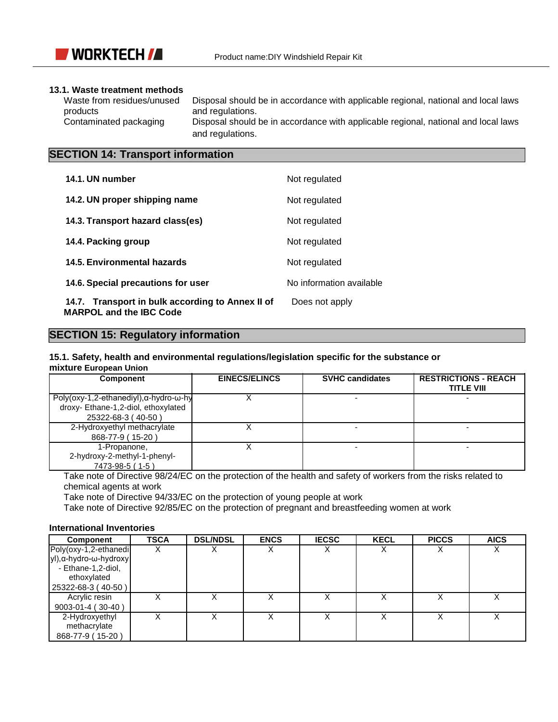

## **13.1. Waste treatment methods**

Waste from residues/unused Disposal should be in accordance with applicable regional, national and local laws<br>
and regulations. and regulations. Contaminated packaging Disposal should be in accordance with applicable regional, national and local laws and regulations.

# **SECTION 14: Transport information**

| 14.1. UN number                                                                    | Not regulated            |
|------------------------------------------------------------------------------------|--------------------------|
| 14.2. UN proper shipping name                                                      | Not regulated            |
| 14.3. Transport hazard class(es)                                                   | Not regulated            |
| 14.4. Packing group                                                                | Not regulated            |
| 14.5. Environmental hazards                                                        | Not regulated            |
| 14.6. Special precautions for user                                                 | No information available |
| 14.7. Transport in bulk according to Annex II of<br><b>MARPOL and the IBC Code</b> | Does not apply           |

# **SECTION 15: Regulatory information**

# **15.1. Safety, health and environmental regulations/legislation specific for the substance or**

# **mixture European Union**

| <b>Component</b>                                        | <b>EINECS/ELINCS</b> | <b>SVHC candidates</b> |  |
|---------------------------------------------------------|----------------------|------------------------|--|
| Poly(oxy-1,2-ethanediyl), $\alpha$ -hydro- $\omega$ -hy |                      |                        |  |
| droxy- Ethane-1,2-diol, ethoxylated                     |                      |                        |  |
| 25322-68-3 (40-50)                                      |                      |                        |  |
| 2-Hydroxyethyl methacrylate                             |                      |                        |  |
| 868-77-9 (15-20)                                        |                      |                        |  |
| 1-Propanone,                                            |                      |                        |  |
| 2-hydroxy-2-methyl-1-phenyl-                            |                      |                        |  |
| 7473-98-5 (1-5)                                         |                      |                        |  |

Take note of Directive 98/24/EC on the protection of the health and safety of workers from the risks related to chemical agents at work

Take note of Directive 94/33/EC on the protection of young people at work

Take note of Directive 92/85/EC on the protection of pregnant and breastfeeding women at work

#### **International Inventories**

| <b>Component</b>       | <b>TSCA</b> | <b>DSL/NDSL</b> | <b>ENCS</b> | <b>IECSC</b> | <b>KECL</b> | <b>PICCS</b> | <b>AICS</b> |
|------------------------|-------------|-----------------|-------------|--------------|-------------|--------------|-------------|
| Poly(oxy-1,2-ethanedi  |             |                 |             |              |             |              |             |
| yl), α-hydro-ω-hydroxy |             |                 |             |              |             |              |             |
| - Ethane-1,2-diol,     |             |                 |             |              |             |              |             |
| ethoxylated            |             |                 |             |              |             |              |             |
| 25322-68-3 (40-50)     |             |                 |             |              |             |              |             |
| Acrylic resin          |             |                 |             |              |             |              |             |
| 9003-01-4 (30-40)      |             |                 |             |              |             |              |             |
| 2-Hydroxyethyl         |             |                 |             |              |             |              |             |
| methacrylate           |             |                 |             |              |             |              |             |
| 868-77-9 (15-20)       |             |                 |             |              |             |              |             |